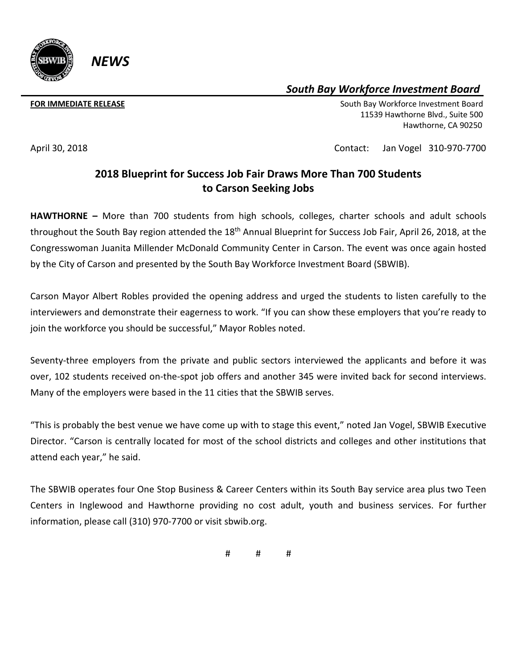

## *South Bay Workforce Investment Board*

**FOR IMMEDIATE RELEASE South Bay Workforce Investment Board South Bay Workforce Investment Board**  11539 Hawthorne Blvd., Suite 500 Hawthorne, CA 90250

## April 30, 2018 Contact: Jan Vogel 310-970-7700

## **2018 Blueprint for Success Job Fair Draws More Than 700 Students to Carson Seeking Jobs**

**HAWTHORNE –** More than 700 students from high schools, colleges, charter schools and adult schools throughout the South Bay region attended the 18<sup>th</sup> Annual Blueprint for Success Job Fair, April 26, 2018, at the Congresswoman Juanita Millender McDonald Community Center in Carson. The event was once again hosted by the City of Carson and presented by the South Bay Workforce Investment Board (SBWIB).

Carson Mayor Albert Robles provided the opening address and urged the students to listen carefully to the interviewers and demonstrate their eagerness to work. "If you can show these employers that you're ready to join the workforce you should be successful," Mayor Robles noted.

Seventy-three employers from the private and public sectors interviewed the applicants and before it was over, 102 students received on-the-spot job offers and another 345 were invited back for second interviews. Many of the employers were based in the 11 cities that the SBWIB serves.

"This is probably the best venue we have come up with to stage this event," noted Jan Vogel, SBWIB Executive Director. "Carson is centrally located for most of the school districts and colleges and other institutions that attend each year," he said.

The SBWIB operates four One Stop Business & Career Centers within its South Bay service area plus two Teen Centers in Inglewood and Hawthorne providing no cost adult, youth and business services. For further information, please call (310) 970-7700 or visit sbwib.org.

# # #